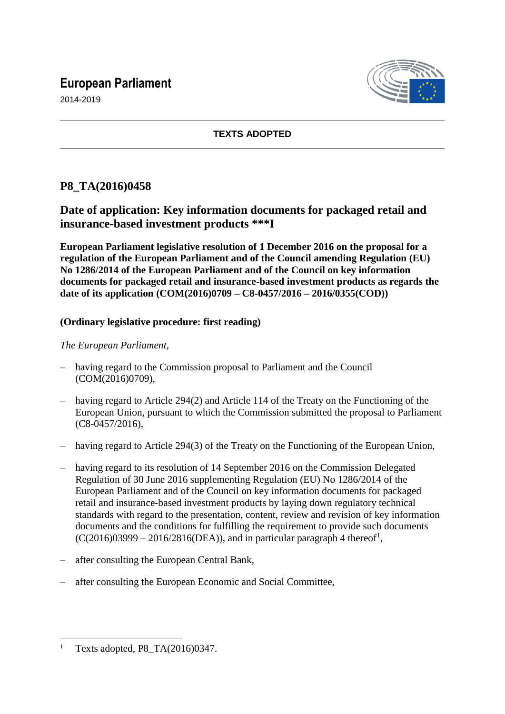# **European Parliament**





### **TEXTS ADOPTED**

## **P8\_TA(2016)0458**

## **Date of application: Key information documents for packaged retail and insurance-based investment products \*\*\*I**

**European Parliament legislative resolution of 1 December 2016 on the proposal for a regulation of the European Parliament and of the Council amending Regulation (EU) No 1286/2014 of the European Parliament and of the Council on key information documents for packaged retail and insurance-based investment products as regards the date of its application (COM(2016)0709 – C8-0457/2016 – 2016/0355(COD))**

#### **(Ordinary legislative procedure: first reading)**

#### *The European Parliament*,

- having regard to the Commission proposal to Parliament and the Council (COM(2016)0709),
- having regard to Article 294(2) and Article 114 of the Treaty on the Functioning of the European Union, pursuant to which the Commission submitted the proposal to Parliament (C8-0457/2016),
- having regard to Article 294(3) of the Treaty on the Functioning of the European Union,
- having regard to its resolution of 14 September 2016 on the Commission Delegated Regulation of 30 June 2016 supplementing Regulation (EU) No 1286/2014 of the European Parliament and of the Council on key information documents for packaged retail and insurance-based investment products by laying down regulatory technical standards with regard to the presentation, content, review and revision of key information documents and the conditions for fulfilling the requirement to provide such documents  $(C(2016)03999 - 2016/2816(DEA))$ , and in particular paragraph 4 thereof<sup>1</sup>,
- after consulting the European Central Bank,
- after consulting the European Economic and Social Committee,

 $\overline{a}$ <sup>1</sup> Texts adopted, P8\_TA(2016)0347.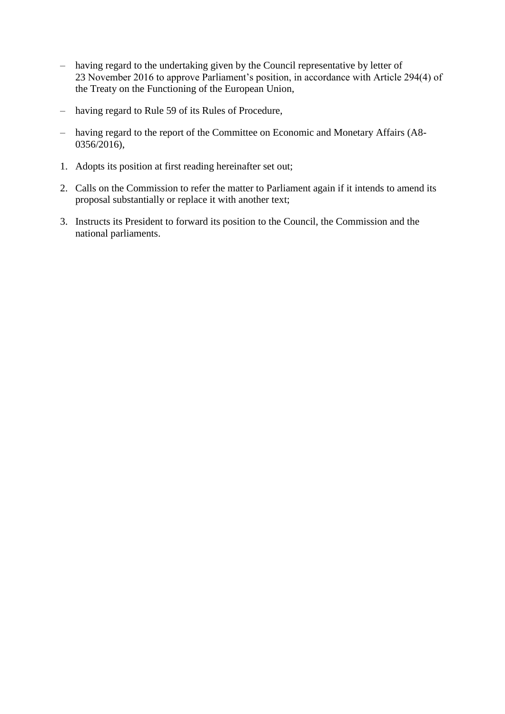- having regard to the undertaking given by the Council representative by letter of 23 November 2016 to approve Parliament's position, in accordance with Article 294(4) of the Treaty on the Functioning of the European Union,
- having regard to Rule 59 of its Rules of Procedure,
- having regard to the report of the Committee on Economic and Monetary Affairs (A8- 0356/2016),
- 1. Adopts its position at first reading hereinafter set out;
- 2. Calls on the Commission to refer the matter to Parliament again if it intends to amend its proposal substantially or replace it with another text;
- 3. Instructs its President to forward its position to the Council, the Commission and the national parliaments.